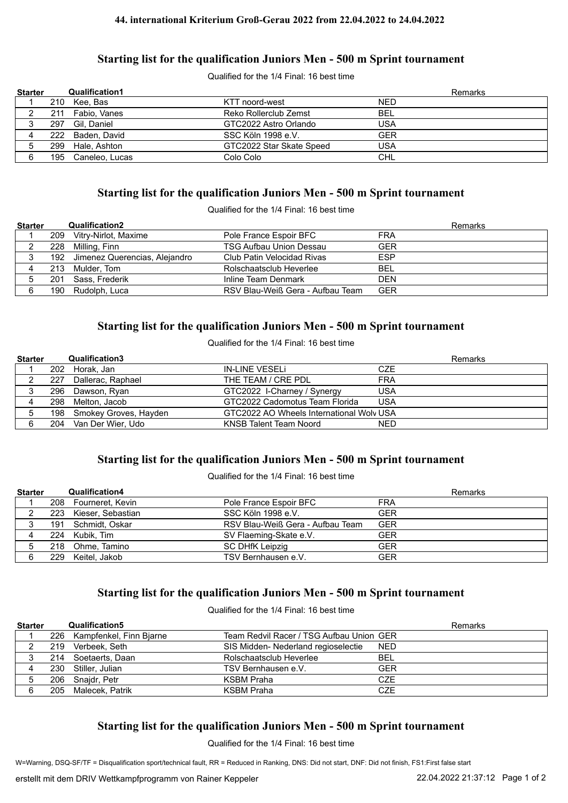#### **44. international Kriterium Groß-Gerau 2022 from 22.04.2022 to 24.04.2022**

### **Starting list for the qualification Juniors Men - 500 m Sprint tournament**

Qualified for the 1/4 Final: 16 best time

| <b>Starter</b> |     | <b>Qualification1</b> |                          | Remarks    |
|----------------|-----|-----------------------|--------------------------|------------|
|                | 210 | Kee. Bas              | KTT noord-west           | <b>NED</b> |
|                | 211 | Fabio, Vanes          | Reko Rollerclub Zemst    | <b>BEL</b> |
|                | 297 | Gil. Daniel           | GTC2022 Astro Orlando    | USA        |
| 4              |     | 222 Baden, David      | SSC Köln 1998 e.V.       | <b>GER</b> |
|                | 299 | Hale. Ashton          | GTC2022 Star Skate Speed | <b>USA</b> |
| 6              | 195 | Caneleo, Lucas        | Colo Colo                | <b>CHL</b> |

### **Starting list for the qualification Juniors Men - 500 m Sprint tournament**

Qualified for the 1/4 Final: 16 best time

| <b>Starter</b> |     | <b>Qualification2</b>             |                                  | Remarks    |
|----------------|-----|-----------------------------------|----------------------------------|------------|
|                |     | 209 Vitry-Nirlot, Maxime          | Pole France Espoir BFC           | <b>FRA</b> |
|                |     | 228 Milling, Finn                 | <b>TSG Aufbau Union Dessau</b>   | <b>GER</b> |
|                |     | 192 Jimenez Querencias, Alejandro | Club Patin Velocidad Rivas       | <b>ESP</b> |
| 4              |     | 213 Mulder, Tom                   | Rolschaatsclub Heverlee          | <b>BEL</b> |
|                | 201 | Sass, Frederik                    | Inline Team Denmark              | <b>DEN</b> |
| 6              |     | 190 Rudolph, Luca                 | RSV Blau-Weiß Gera - Aufbau Team | <b>GER</b> |

### **Starting list for the qualification Juniors Men - 500 m Sprint tournament**

Qualified for the 1/4 Final: 16 best time

| <b>Starter</b> |     | <b>Qualification3</b>     |                                          |            | Remarks |
|----------------|-----|---------------------------|------------------------------------------|------------|---------|
|                |     | 202 Horak, Jan            | IN-LINE VESELI                           | CZE        |         |
|                | 227 | Dallerac, Raphael         | THE TEAM / CRE PDL                       | <b>FRA</b> |         |
|                |     | 296 Dawson, Ryan          | GTC2022 I-Charney / Synergy              | <b>USA</b> |         |
|                |     | 298 Melton, Jacob         | GTC2022 Cadomotus Team Florida           | <b>USA</b> |         |
|                |     | 198 Smokey Groves, Hayden | GTC2022 AO Wheels International Wolv USA |            |         |
|                | 204 | Van Der Wier. Udo         | KNSB Talent Team Noord                   | <b>NED</b> |         |

# **Starting list for the qualification Juniors Men - 500 m Sprint tournament**

Qualified for the 1/4 Final: 16 best time

| <b>Starter</b> |     | <b>Qualification4</b> |                                  | Remarks    |
|----------------|-----|-----------------------|----------------------------------|------------|
|                |     | 208 Fourneret, Kevin  | Pole France Espoir BFC           | FRA        |
|                |     | 223 Kieser, Sebastian | SSC Köln 1998 e.V.               | <b>GER</b> |
|                |     | 191 Schmidt, Oskar    | RSV Blau-Weiß Gera - Aufbau Team | <b>GER</b> |
|                |     | 224 Kubik, Tim        | SV Flaeming-Skate e.V.           | GER        |
|                |     | 218 Ohme, Tamino      | <b>SC DHfK Leipzig</b>           | <b>GER</b> |
| 6              | 229 | Keitel. Jakob         | TSV Bernhausen e.V.              | <b>GER</b> |

# **Starting list for the qualification Juniors Men - 500 m Sprint tournament**

Qualified for the 1/4 Final: 16 best time

| <b>Starter</b> | <b>Qualification5</b>       |                                          | <b>Remarks</b> |
|----------------|-----------------------------|------------------------------------------|----------------|
|                | 226 Kampfenkel, Finn Bjarne | Team Redvil Racer / TSG Aufbau Union GER |                |
|                | 219 Verbeek, Seth           | SIS Midden- Nederland regioselectie      | NED            |
|                | 214 Soetaerts, Daan         | Rolschaatsclub Heverlee                  | <b>BEL</b>     |
|                | 230 Stiller, Julian         | TSV Bernhausen e.V.                      | GER            |
|                | 206 Snajdr, Petr            | <b>KSBM Praha</b>                        | <b>CZE</b>     |
|                | 205 Malecek, Patrik         | <b>KSBM Praha</b>                        | <b>CZE</b>     |

# **Starting list for the qualification Juniors Men - 500 m Sprint tournament**

Qualified for the 1/4 Final: 16 best time

W=Warning, DSQ-SF/TF = Disqualification sport/technical fault, RR = Reduced in Ranking, DNS: Did not start, DNF: Did not finish, FS1:First false start